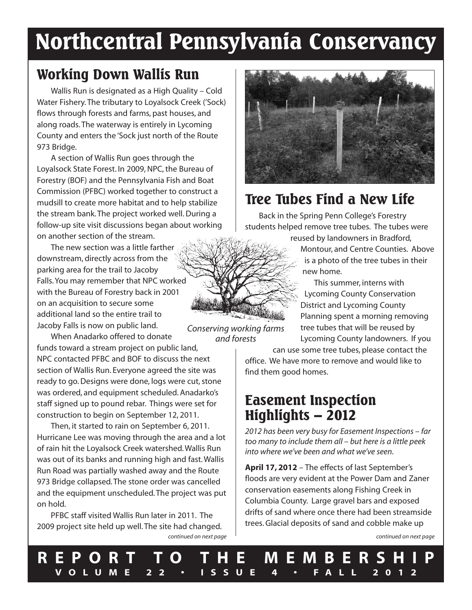# **Northcentral Pennsylvania Conservancy**

# **Working Down Wallis Run**

Wallis Run is designated as a High Quality – Cold Water Fishery.The tributary to Loyalsock Creek ('Sock) flows through forests and farms, past houses, and along roads.The waterway is entirely in Lycoming County and enters the 'Sock just north of the Route 973 Bridge.

A section of Wallis Run goes through the Loyalsock State Forest. In 2009, NPC, the Bureau of Forestry (BOF) and the Pennsylvania Fish and Boat Commission (PFBC) worked together to construct a mudsill to create more habitat and to help stabilize the stream bank.The project worked well.During a follow-up site visit discussions began about working on another section of the stream.

The new section was a little farther downstream, directly across from the parking area for the trail to Jacoby Falls.You may remember that NPC worked with the Bureau of Forestry back in 2001 on an acquisition to secure some additional land so the entire trail to Jacoby Falls is now on public land.

When Anadarko offered to donate funds toward a stream project on public land, NPC contacted PFBC and BOF to discuss the next section of Wallis Run. Everyone agreed the site was ready to go. Designs were done, logs were cut, stone was ordered, and equipment scheduled. Anadarko's staff signed up to pound rebar. Things were set for construction to begin on September 12, 2011. *and forests*

Then, it started to rain on September 6, 2011. Hurricane Lee was moving through the area and a lot of rain hit the Loyalsock Creek watershed.Wallis Run was out of its banks and running high and fast.Wallis Run Road was partially washed away and the Route 973 Bridge collapsed.The stone order was cancelled and the equipment unscheduled.The project was put on hold.

PFBC staff visited Wallis Run later in 2011. The 2009 project site held up well.The site had changed. *continued on next page continued on next page*

# **Tree Tubes Find a New Life**

Back in the Spring Penn College's Forestry students helped remove tree tubes. The tubes were

reused by landowners in Bradford, Montour, and Centre Counties. Above is a photo of the tree tubes in their new home.

This summer, interns with Lycoming County Conservation District and Lycoming County Planning spent a morning removing tree tubes that will be reused by Lycoming County landowners. If you

can use some tree tubes, please contact the office. We have more to remove and would like to find them good homes.

# **Easement Inspection Highlights – 2012**

*2012 has been very busy for Easement Inspections – far too many to include them all – but here is a little peek into where we've been and what we've seen.*

**April 17, 2012** – The effects of last September's floods are very evident at the Power Dam and Zaner conservation easements along Fishing Creek in Columbia County. Large gravel bars and exposed drifts of sand where once there had been streamside trees.Glacial deposits of sand and cobble make up

*Conserving working farms*

**R E P O R T T O T H E M E M B E R S H I P V O L U M E 2 2 • I S S U E 4 • F A L L 2 0 1 2**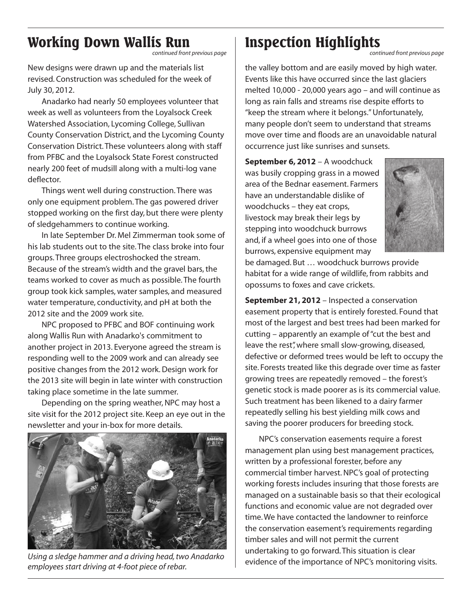# **Working Down Wallis Run**

*continued front previous page*

New designs were drawn up and the materials list revised. Construction was scheduled for the week of July 30, 2012.

Anadarko had nearly 50 employees volunteer that week as well as volunteers from the Loyalsock Creek Watershed Association, Lycoming College, Sullivan County Conservation District, and the Lycoming County Conservation District.These volunteers along with staff from PFBC and the Loyalsock State Forest constructed nearly 200 feet of mudsill along with a multi-log vane deflector.

Things went well during construction.There was only one equipment problem.The gas powered driver stopped working on the first day, but there were plenty of sledgehammers to continue working.

In late September Dr. Mel Zimmerman took some of his lab students out to the site.The class broke into four groups.Three groups electroshocked the stream. Because of the stream's width and the gravel bars, the teams worked to cover as much as possible.The fourth group took kick samples, water samples, and measured water temperature, conductivity, and pH at both the 2012 site and the 2009 work site.

NPC proposed to PFBC and BOF continuing work along Wallis Run with Anadarko's commitment to another project in 2013. Everyone agreed the stream is responding well to the 2009 work and can already see positive changes from the 2012 work.Design work for the 2013 site will begin in late winter with construction taking place sometime in the late summer.

Depending on the spring weather, NPC may host a site visit for the 2012 project site. Keep an eye out in the newsletter and your in-box for more details.



*Using a sledge hammer and a driving head,two Anadarko employees start driving at 4-foot piece of rebar.*

# **Inspection Highlights**

*continued front previous page*

the valley bottom and are easily moved by high water. Events like this have occurred since the last glaciers melted 10,000 - 20,000 years ago – and will continue as long as rain falls and streams rise despite efforts to "keep the stream where it belongs."Unfortunately, many people don't seem to understand that streams move over time and floods are an unavoidable natural occurrence just like sunrises and sunsets.

**September 6, 2012** – A woodchuck was busily cropping grass in a mowed area of the Bednar easement. Farmers have an understandable dislike of woodchucks – they eat crops, livestock may break their legs by stepping into woodchuck burrows and, if a wheel goes into one of those burrows, expensive equipment may



be damaged. But … woodchuck burrows provide habitat for a wide range of wildlife, from rabbits and opossums to foxes and cave crickets.

**September 21, 2012** – Inspected a conservation easement property that is entirely forested. Found that most of the largest and best trees had been marked for cutting – apparently an example of"cut the best and leave the rest", where small slow-growing, diseased, defective or deformed trees would be left to occupy the site. Forests treated like this degrade over time as faster growing trees are repeatedly removed – the forest's genetic stock is made poorer as is its commercial value. Such treatment has been likened to a dairy farmer repeatedly selling his best yielding milk cows and saving the poorer producers for breeding stock.

NPC's conservation easements require a forest management plan using best management practices, written by a professional forester, before any commercial timber harvest.NPC's goal of protecting working forests includes insuring that those forests are managed on a sustainable basis so that their ecological functions and economic value are not degraded over time.We have contacted the landowner to reinforce the conservation easement's requirements regarding timber sales and will not permit the current undertaking to go forward.This situation is clear evidence of the importance of NPC's monitoring visits.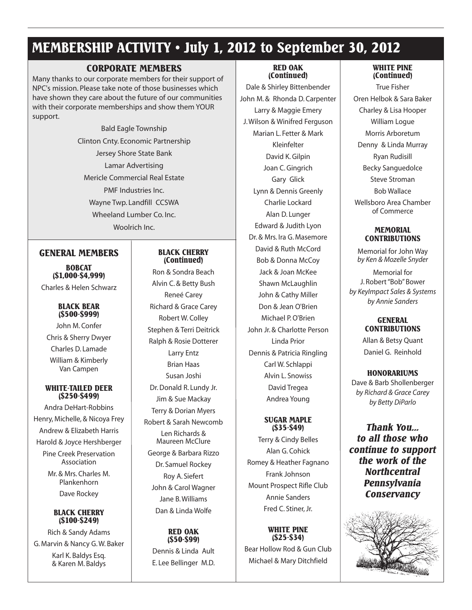# **MEMBERSHIP ACTIVITY • July 1, 2012 to September 30, 2012**

# **CORPORATE MEMBERS**

Many thanks to our corporate members for their support of NPC's mission. Please take note of those businesses which have shown they care about the future of our communities with their corporate memberships and show them YOUR support.

> Bald Eagle Township Clinton Cnty. Economic Partnership Jersey Shore State Bank Lamar Advertising Mericle Commercial Real Estate PMF Industries Inc. Wayne Twp. Landfill CCSWA Wheeland Lumber Co. Inc. Woolrich Inc.

## **GENERAL MEMBERS**

**BOBCAT (\$1,000-\$4,999)** Charles & Helen Schwarz

### **BLACK BEAR (\$500-\$999)**

John M. Confer Chris & Sherry Dwyer Charles D. Lamade William & Kimberly Van Campen

### **WHITE-TAILED DEER (\$250-\$499)**

Andra DeHart-Robbins Henry, Michelle, & Nicoya Frey Andrew & Elizabeth Harris Harold & Joyce Hershberger Pine Creek Preservation Association

Mr. & Mrs. Charles M. Plankenhorn Dave Rockey

### **BLACK CHERRY (\$100-\$249)**

Rich & Sandy Adams G. Marvin & Nancy G.W. Baker

Karl K. Baldys Esq. & Karen M. Baldys

#### **BLACK CHERRY (Continued)**

Ron & Sondra Beach Alvin C. & Betty Bush Reneé Carey Richard & Grace Carey Robert W. Colley Stephen & Terri Deitrick Ralph & Rosie Dotterer Larry Entz Brian Haas Susan Joshi Dr.Donald R. Lundy Jr. Jim & Sue Mackay Terry & Dorian Myers Robert & Sarah Newcomb Len Richards & Maureen McClure George & Barbara Rizzo Dr. Samuel Rockey Roy A. Siefert John & Carol Wagner

Jane B.Williams Dan & Linda Wolfe

# **RED OAK (\$50-\$99)** Dennis & Linda Ault E. Lee Bellinger M.D.

#### **RED OAK (Continued)**

Dale & Shirley Bittenbender John M. & Rhonda D. Carpenter Larry & Maggie Emery J.Wilson & Winifred Ferguson Marian L. Fetter & Mark Kleinfelter David K.Gilpin Joan C.Gingrich Gary Glick Lynn & Dennis Greenly Charlie Lockard Alan D. Lunger Edward & Judith Lyon Dr. & Mrs. Ira G. Masemore David & Ruth McCord Bob & Donna McCoy Jack & Joan McKee Shawn McLaughlin John & Cathy Miller Don & Jean O'Brien Michael P.O'Brien John Jr. & Charlotte Person Linda Prior Dennis & Patricia Ringling Carl W. Schlappi Alvin L. Snowiss David Tregea Andrea Young

#### **SUGAR MAPLE (\$35-\$49)**

Terry & Cindy Belles Alan G. Cohick Romey & Heather Fagnano Frank Johnson Mount Prospect Rifle Club Annie Sanders Fred C. Stiner, Jr.

### **WHITE PINE (\$25-\$34)**

Bear Hollow Rod & Gun Club Michael & Mary Ditchfield

### **WHITE PINE (Continued)**

True Fisher Oren Helbok & Sara Baker Charley & Lisa Hooper William Logue Morris Arboretum Denny & Linda Murray Ryan Rudisill Becky Sanguedolce Steve Stroman Bob Wallace Wellsboro Area Chamber of Commerce

### **MEMORIAL CONTRIBUTIONS**

Memorial for John Way *by Ken & Mozelle Snyder*

Memorial for J. Robert"Bob"Bower *by KeyImpact Sales & Systems by Annie Sanders*

### **GENERAL CONTRIBUTIONS**

Allan & Betsy Quant Daniel G. Reinhold

# **HONORARIUMS**

Dave & Barb Shollenberger *by Richard & Grace Carey by Betty DiParlo*

*Thank You... to all those who continue to support the work of the Northcentral Pennsylvania Conservancy*